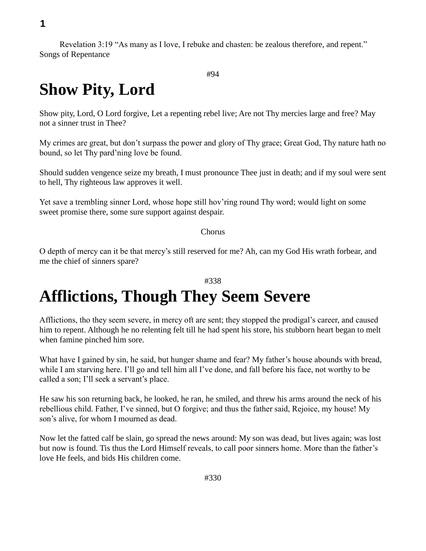**1**

Revelation 3:19 "As many as I love, I rebuke and chasten: be zealous therefore, and repent." Songs of Repentance

```
#94
```
## **Show Pity, Lord**

Show pity, Lord, O Lord forgive, Let a repenting rebel live; Are not Thy mercies large and free? May not a sinner trust in Thee?

My crimes are great, but don't surpass the power and glory of Thy grace; Great God, Thy nature hath no bound, so let Thy pard'ning love be found.

Should sudden vengence seize my breath, I must pronounce Thee just in death; and if my soul were sent to hell, Thy righteous law approves it well.

Yet save a trembling sinner Lord, whose hope still hov'ring round Thy word; would light on some sweet promise there, some sure support against despair.

#### Chorus

O depth of mercy can it be that mercy's still reserved for me? Ah, can my God His wrath forbear, and me the chief of sinners spare?

### #338

### **Afflictions, Though They Seem Severe**

Afflictions, tho they seem severe, in mercy oft are sent; they stopped the prodigal's career, and caused him to repent. Although he no relenting felt till he had spent his store, his stubborn heart began to melt when famine pinched him sore.

What have I gained by sin, he said, but hunger shame and fear? My father's house abounds with bread, while I am starving here. I'll go and tell him all I've done, and fall before his face, not worthy to be called a son; I'll seek a servant's place.

He saw his son returning back, he looked, he ran, he smiled, and threw his arms around the neck of his rebellious child. Father, I've sinned, but O forgive; and thus the father said, Rejoice, my house! My son's alive, for whom I mourned as dead.

Now let the fatted calf be slain, go spread the news around: My son was dead, but lives again; was lost but now is found. Tis thus the Lord Himself reveals, to call poor sinners home. More than the father's love He feels, and bids His children come.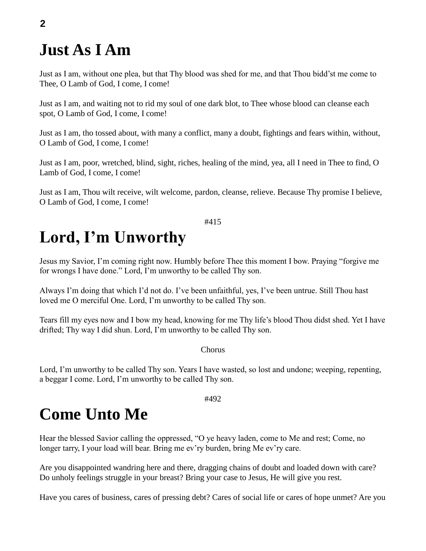### **Just As I Am**

Just as I am, without one plea, but that Thy blood was shed for me, and that Thou bidd'st me come to Thee, O Lamb of God, I come, I come!

Just as I am, and waiting not to rid my soul of one dark blot, to Thee whose blood can cleanse each spot, O Lamb of God, I come, I come!

Just as I am, tho tossed about, with many a conflict, many a doubt, fightings and fears within, without, O Lamb of God, I come, I come!

Just as I am, poor, wretched, blind, sight, riches, healing of the mind, yea, all I need in Thee to find, O Lamb of God, I come, I come!

Just as I am, Thou wilt receive, wilt welcome, pardon, cleanse, relieve. Because Thy promise I believe, O Lamb of God, I come, I come!

#### #415

## **Lord, I'm Unworthy**

Jesus my Savior, I'm coming right now. Humbly before Thee this moment I bow. Praying "forgive me for wrongs I have done." Lord, I'm unworthy to be called Thy son.

Always I'm doing that which I'd not do. I've been unfaithful, yes, I've been untrue. Still Thou hast loved me O merciful One. Lord, I'm unworthy to be called Thy son.

Tears fill my eyes now and I bow my head, knowing for me Thy life's blood Thou didst shed. Yet I have drifted; Thy way I did shun. Lord, I'm unworthy to be called Thy son.

#### Chorus

Lord, I'm unworthy to be called Thy son. Years I have wasted, so lost and undone; weeping, repenting, a beggar I come. Lord, I'm unworthy to be called Thy son.

#492

### **Come Unto Me**

Hear the blessed Savior calling the oppressed, "O ye heavy laden, come to Me and rest; Come, no longer tarry, I your load will bear. Bring me ev'ry burden, bring Me ev'ry care.

Are you disappointed wandring here and there, dragging chains of doubt and loaded down with care? Do unholy feelings struggle in your breast? Bring your case to Jesus, He will give you rest.

Have you cares of business, cares of pressing debt? Cares of social life or cares of hope unmet? Are you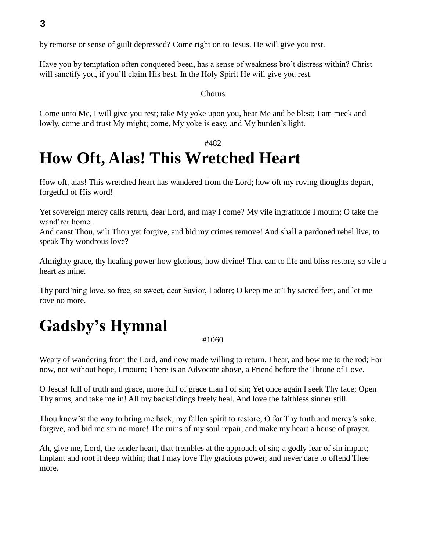by remorse or sense of guilt depressed? Come right on to Jesus. He will give you rest.

Have you by temptation often conquered been, has a sense of weakness bro't distress within? Christ will sanctify you, if you'll claim His best. In the Holy Spirit He will give you rest.

#### Chorus

Come unto Me, I will give you rest; take My yoke upon you, hear Me and be blest; I am meek and lowly, come and trust My might; come, My yoke is easy, and My burden's light.

### #482

## **How Oft, Alas! This Wretched Heart**

How oft, alas! This wretched heart has wandered from the Lord; how oft my roving thoughts depart, forgetful of His word!

Yet sovereign mercy calls return, dear Lord, and may I come? My vile ingratitude I mourn; O take the wand'rer home.

And canst Thou, wilt Thou yet forgive, and bid my crimes remove! And shall a pardoned rebel live, to speak Thy wondrous love?

Almighty grace, thy healing power how glorious, how divine! That can to life and bliss restore, so vile a heart as mine.

Thy pard'ning love, so free, so sweet, dear Savior, I adore; O keep me at Thy sacred feet, and let me rove no more.

# **Gadsby's Hymnal**

#### #1060

Weary of wandering from the Lord, and now made willing to return, I hear, and bow me to the rod; For now, not without hope, I mourn; There is an Advocate above, a Friend before the Throne of Love.

O Jesus! full of truth and grace, more full of grace than I of sin; Yet once again I seek Thy face; Open Thy arms, and take me in! All my backslidings freely heal. And love the faithless sinner still.

Thou know'st the way to bring me back, my fallen spirit to restore; O for Thy truth and mercy's sake, forgive, and bid me sin no more! The ruins of my soul repair, and make my heart a house of prayer.

Ah, give me, Lord, the tender heart, that trembles at the approach of sin; a godly fear of sin impart; Implant and root it deep within; that I may love Thy gracious power, and never dare to offend Thee more.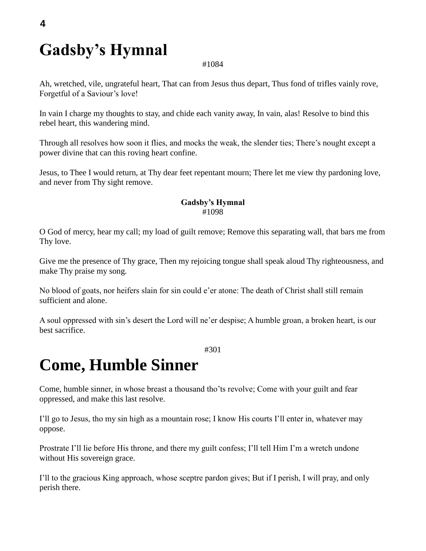# **Gadsby's Hymnal**

#### #1084

Ah, wretched, vile, ungrateful heart, That can from Jesus thus depart, Thus fond of trifles vainly rove, Forgetful of a Saviour's love!

In vain I charge my thoughts to stay, and chide each vanity away, In vain, alas! Resolve to bind this rebel heart, this wandering mind.

Through all resolves how soon it flies, and mocks the weak, the slender ties; There's nought except a power divine that can this roving heart confine.

Jesus, to Thee I would return, at Thy dear feet repentant mourn; There let me view thy pardoning love, and never from Thy sight remove.

#### **Gadsby's Hymnal** #1098

O God of mercy, hear my call; my load of guilt remove; Remove this separating wall, that bars me from Thy love.

Give me the presence of Thy grace, Then my rejoicing tongue shall speak aloud Thy righteousness, and make Thy praise my song.

No blood of goats, nor heifers slain for sin could e'er atone: The death of Christ shall still remain sufficient and alone.

A soul oppressed with sin's desert the Lord will ne'er despise; A humble groan, a broken heart, is our best sacrifice.

#301

### **Come, Humble Sinner**

Come, humble sinner, in whose breast a thousand tho'ts revolve; Come with your guilt and fear oppressed, and make this last resolve.

I'll go to Jesus, tho my sin high as a mountain rose; I know His courts I'll enter in, whatever may oppose.

Prostrate I'll lie before His throne, and there my guilt confess; I'll tell Him I'm a wretch undone without His sovereign grace.

I'll to the gracious King approach, whose sceptre pardon gives; But if I perish, I will pray, and only perish there.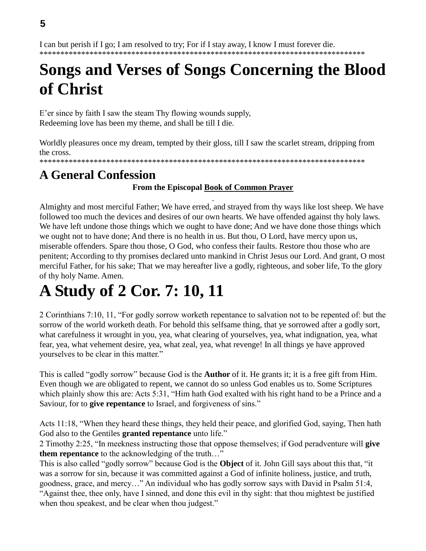I can but perish if I go; I am resolved to try; For if I stay away, I know I must forever die. \*\*\*\*\*\*\*\*\*\*\*\*\*\*\*\*\*\*\*\*\*\*\*\*\*\*\*\*\*\*\*\*\*\*\*\*\*\*\*\*\*\*\*\*\*\*\*\*\*\*\*\*\*\*\*\*\*\*\*\*\*\*\*\*\*\*\*\*\*\*\*\*\*\*\*\*\*\*

## **Songs and Verses of Songs Concerning the Blood of Christ**

E'er since by faith I saw the steam Thy flowing wounds supply, Redeeming love has been my theme, and shall be till I die.

Worldly pleasures once my dream, tempted by their gloss, till I saw the scarlet stream, dripping from the cross.

\*\*\*\*\*\*\*\*\*\*\*\*\*\*\*\*\*\*\*\*\*\*\*\*\*\*\*\*\*\*\*\*\*\*\*\*\*\*\*\*\*\*\*\*\*\*\*\*\*\*\*\*\*\*\*\*\*\*\*\*\*\*\*\*\*\*\*\*\*\*\*\*\*\*\*\*\*\*

### **A General Confession**

### **From the Episcopal Book of Common Prayer**

Almighty and most merciful Father; We have erred, and strayed from thy ways like lost sheep. We have followed too much the devices and desires of our own hearts. We have offended against thy holy laws. We have left undone those things which we ought to have done; And we have done those things which we ought not to have done; And there is no health in us. But thou, O Lord, have mercy upon us, miserable offenders. Spare thou those, O God, who confess their faults. Restore thou those who are penitent; According to thy promises declared unto mankind in Christ Jesus our Lord. And grant, O most merciful Father, for his sake; That we may hereafter live a godly, righteous, and sober life, To the glory of thy holy Name. Amen.

# **A Study of 2 Cor. 7: 10, 11**

2 Corinthians 7:10, 11, "For godly sorrow worketh repentance to salvation not to be repented of: but the sorrow of the world worketh death. For behold this selfsame thing, that ye sorrowed after a godly sort, what carefulness it wrought in you, yea, what clearing of yourselves, yea, what indignation, yea, what fear, yea, what vehement desire, yea, what zeal, yea, what revenge! In all things ye have approved yourselves to be clear in this matter."

This is called "godly sorrow" because God is the **Author** of it. He grants it; it is a free gift from Him. Even though we are obligated to repent, we cannot do so unless God enables us to. Some Scriptures which plainly show this are: Acts 5:31, "Him hath God exalted with his right hand to be a Prince and a Saviour, for to **give repentance** to Israel, and forgiveness of sins."

Acts 11:18, "When they heard these things, they held their peace, and glorified God, saying, Then hath God also to the Gentiles **granted repentance** unto life."

2 Timothy 2:25, "In meekness instructing those that oppose themselves; if God peradventure will **give them repentance** to the acknowledging of the truth…"

This is also called "godly sorrow" because God is the **Object** of it. John Gill says about this that, "it was a sorrow for sin, because it was committed against a God of infinite holiness, justice, and truth, goodness, grace, and mercy…" An individual who has godly sorrow says with David in Psalm 51:4, "Against thee, thee only, have I sinned, and done this evil in thy sight: that thou mightest be justified when thou speakest, and be clear when thou judgest."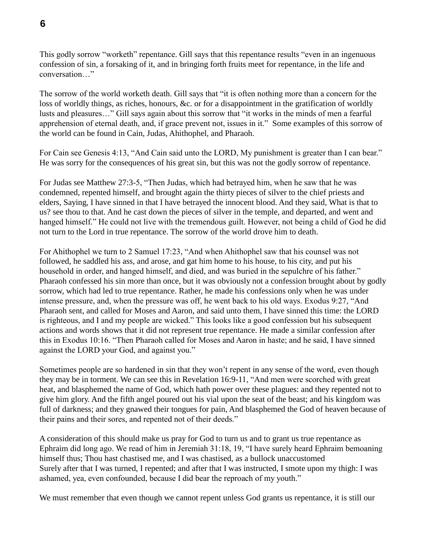This godly sorrow "worketh" repentance. Gill says that this repentance results "even in an ingenuous confession of sin, a forsaking of it, and in bringing forth fruits meet for repentance, in the life and conversation…"

The sorrow of the world worketh death. Gill says that "it is often nothing more than a concern for the loss of worldly things, as riches, honours, &c. or for a disappointment in the gratification of worldly lusts and pleasures…" Gill says again about this sorrow that "it works in the minds of men a fearful apprehension of eternal death, and, if grace prevent not, issues in it." Some examples of this sorrow of the world can be found in Cain, Judas, Ahithophel, and Pharaoh.

For Cain see Genesis 4:13, "And Cain said unto the LORD, My punishment is greater than I can bear." He was sorry for the consequences of his great sin, but this was not the godly sorrow of repentance.

For Judas see Matthew 27:3-5, "Then Judas, which had betrayed him, when he saw that he was condemned, repented himself, and brought again the thirty pieces of silver to the chief priests and elders, Saying, I have sinned in that I have betrayed the innocent blood. And they said, What is that to us? see thou to that. And he cast down the pieces of silver in the temple, and departed, and went and hanged himself." He could not live with the tremendous guilt. However, not being a child of God he did not turn to the Lord in true repentance. The sorrow of the world drove him to death.

For Ahithophel we turn to 2 Samuel 17:23, "And when Ahithophel saw that his counsel was not followed, he saddled his ass, and arose, and gat him home to his house, to his city, and put his household in order, and hanged himself, and died, and was buried in the sepulchre of his father." Pharaoh confessed his sin more than once, but it was obviously not a confession brought about by godly sorrow, which had led to true repentance. Rather, he made his confessions only when he was under intense pressure, and, when the pressure was off, he went back to his old ways. Exodus 9:27, "And Pharaoh sent, and called for Moses and Aaron, and said unto them, I have sinned this time: the LORD is righteous, and I and my people are wicked." This looks like a good confession but his subsequent actions and words shows that it did not represent true repentance. He made a similar confession after this in Exodus 10:16. "Then Pharaoh called for Moses and Aaron in haste; and he said, I have sinned against the LORD your God, and against you."

Sometimes people are so hardened in sin that they won't repent in any sense of the word, even though they may be in torment. We can see this in Revelation 16:9-11, "And men were scorched with great heat, and blasphemed the name of God, which hath power over these plagues: and they repented not to give him glory. And the fifth angel poured out his vial upon the seat of the beast; and his kingdom was full of darkness; and they gnawed their tongues for pain, And blasphemed the God of heaven because of their pains and their sores, and repented not of their deeds."

A consideration of this should make us pray for God to turn us and to grant us true repentance as Ephraim did long ago. We read of him in Jeremiah 31:18, 19, "I have surely heard Ephraim bemoaning himself thus; Thou hast chastised me, and I was chastised, as a bullock unaccustomed Surely after that I was turned, I repented; and after that I was instructed, I smote upon my thigh: I was ashamed, yea, even confounded, because I did bear the reproach of my youth."

We must remember that even though we cannot repent unless God grants us repentance, it is still our